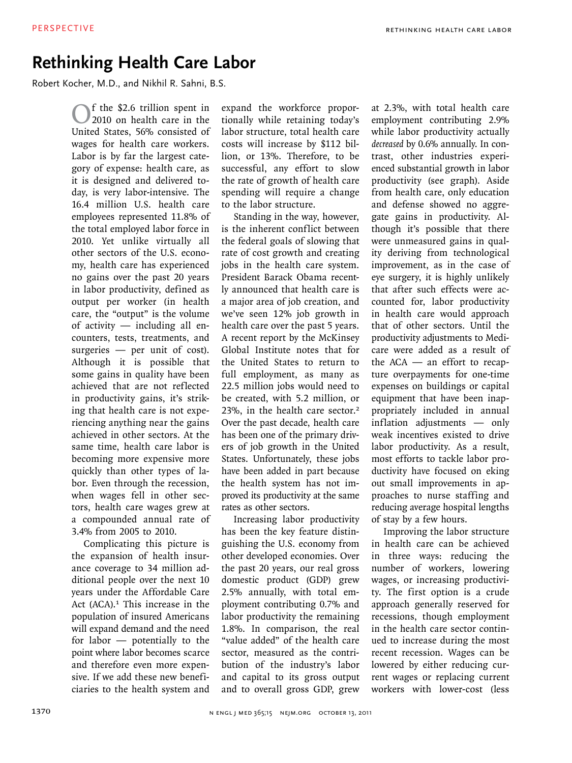## **Rethinking Health Care Labor**

Robert Kocher, M.D., and Nikhil R. Sahni, B.S.

f the \$2.6 trillion spent in 2010 on health care in the United States, 56% consisted of wages for health care workers. Labor is by far the largest category of expense: health care, as it is designed and delivered today, is very labor-intensive. The 16.4 million U.S. health care employees represented 11.8% of the total employed labor force in 2010. Yet unlike virtually all other sectors of the U.S. economy, health care has experienced no gains over the past 20 years in labor productivity, defined as output per worker (in health care, the "output" is the volume of activity — including all encounters, tests, treatments, and surgeries — per unit of cost). Although it is possible that some gains in quality have been achieved that are not reflected in productivity gains, it's striking that health care is not experiencing anything near the gains achieved in other sectors. At the same time, health care labor is becoming more expensive more quickly than other types of labor. Even through the recession, when wages fell in other sectors, health care wages grew at a compounded annual rate of 3.4% from 2005 to 2010.

Complicating this picture is the expansion of health insurance coverage to 34 million additional people over the next 10 years under the Affordable Care Act (ACA).<sup>1</sup> This increase in the population of insured Americans will expand demand and the need for labor — potentially to the point where labor becomes scarce and therefore even more expensive. If we add these new beneficiaries to the health system and expand the workforce proportionally while retaining today's labor structure, total health care costs will increase by \$112 billion, or 13%. Therefore, to be successful, any effort to slow the rate of growth of health care spending will require a change to the labor structure.

Standing in the way, however, is the inherent conflict between the federal goals of slowing that rate of cost growth and creating jobs in the health care system. President Barack Obama recently announced that health care is a major area of job creation, and we've seen 12% job growth in health care over the past 5 years. A recent report by the McKinsey Global Institute notes that for the United States to return to full employment, as many as 22.5 million jobs would need to be created, with 5.2 million, or 23%, in the health care sector.<sup>2</sup> Over the past decade, health care has been one of the primary drivers of job growth in the United States. Unfortunately, these jobs have been added in part because the health system has not improved its productivity at the same rates as other sectors.

Increasing labor productivity has been the key feature distinguishing the U.S. economy from other developed economies. Over the past 20 years, our real gross domestic product (GDP) grew 2.5% annually, with total employment contributing 0.7% and labor productivity the remaining 1.8%. In comparison, the real "value added" of the health care sector, measured as the contribution of the industry's labor and capital to its gross output and to overall gross GDP, grew

at 2.3%, with total health care employment contributing 2.9% while labor productivity actually *decreased* by 0.6% annually. In contrast, other industries experienced substantial growth in labor productivity (see graph). Aside from health care, only education and defense showed no aggregate gains in productivity. Although it's possible that there were unmeasured gains in quality deriving from technological improvement, as in the case of eye surgery, it is highly unlikely that after such effects were accounted for, labor productivity in health care would approach that of other sectors. Until the productivity adjustments to Medicare were added as a result of the ACA — an effort to recapture overpayments for one-time expenses on buildings or capital equipment that have been inappropriately included in annual inflation adjustments — only weak incentives existed to drive labor productivity. As a result, most efforts to tackle labor productivity have focused on eking out small improvements in approaches to nurse staffing and reducing average hospital lengths of stay by a few hours.

Improving the labor structure in health care can be achieved in three ways: reducing the number of workers, lowering wages, or increasing productivity. The first option is a crude approach generally reserved for recessions, though employment in the health care sector continued to increase during the most recent recession. Wages can be lowered by either reducing current wages or replacing current workers with lower-cost (less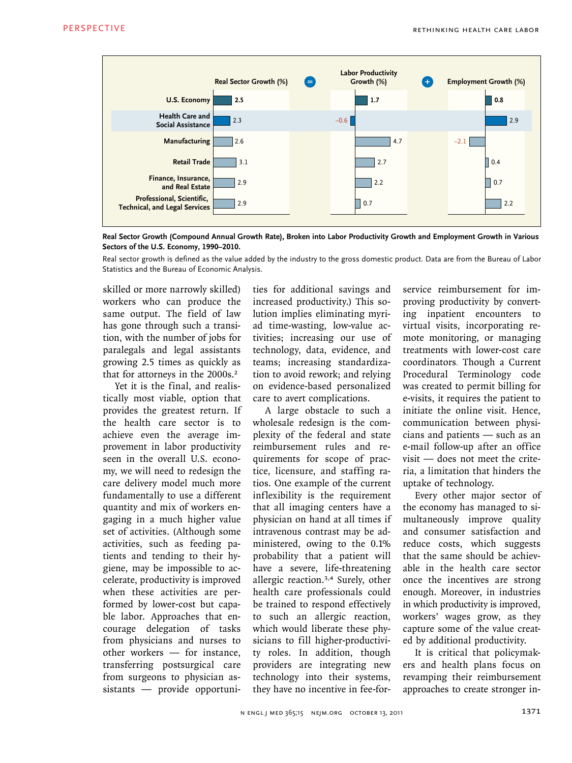

**Real Sector Growth (Compound Annual Growth Rate), Broken into Labor Productivity Growth and Employment Growth in Various Sectors of the U.S. Economy, 1990–2010.**

Statistics and the Bureau of Economic Analysis. Real sector growth is defined as the value added by the industry to the gross domestic product. Data are from the Bureau of Labor

skilled or more narrowly skilled) t workers who can produce the i same output. The field of law has gone through such a transition, with the number of jobs for paralegals and legal assistants growing 2.5 times as quickly as that for attorneys in the 2000s.<sup>2</sup>

Yet it is the final, and realistically most viable, option that provides the greatest return. If the health care sector is to achieve even the average improvement in labor productivity seen in the overall U.S. economy, we will need to redesign the care delivery model much more fundamentally to use a different quantity and mix of workers engaging in a much higher value set of activities. (Although some activities, such as feeding patients and tending to their hygiene, may be impossible to accelerate, productivity is improved when these activities are performed by lower-cost but capable labor. Approaches that encourage delegation of tasks from physicians and nurses to other workers — for instance, transferring postsurgical care from surgeons to physician assistants — provide opportuni-

ties for additional savings and increased productivity.) This so- $\sigma$  lution implies eliminating myriad time-wasting, low-value activities; increasing our use of technology, data, evidence, and as teams; increasing standardiza- coc tion to avoid rework; and relying on evidence-based personalized care to avert complications.  $\sim$  1

> A large obstacle to such a wholesale redesign is the complexity of the federal and state reimbursement rules and requirements for scope of practice, licensure, and staffing ratios. One example of the current inflexibility is the requirement that all imaging centers have a physician on hand at all times if intravenous contrast may be administered, owing to the 0.1% probability that a patient will have a severe, life-threatening allergic reaction.3,4 Surely, other health care professionals could be trained to respond effectively to such an allergic reaction, which would liberate these physicians to fill higher-productivity roles. In addition, though providers are integrating new technology into their systems, they have no incentive in fee-for-

service reimbursement for improving productivity by converting inpatient encounters to virtual visits, incorporating remote monitoring, or managing treatments with lower-cost care coordinators. Though a Current Procedural Terminology code was created to permit billing for e-visits, it requires the patient to initiate the online visit. Hence, communication between physicians and patients — such as an e-mail follow-up after an office visit — does not meet the criteria, a limitation that hinders the uptake of technology.

Every other major sector of the economy has managed to simultaneously improve quality and consumer satisfaction and reduce costs, which suggests that the same should be achievable in the health care sector once the incentives are strong enough. Moreover, in industries in which productivity is improved, workers' wages grow, as they capture some of the value created by additional productivity.

It is critical that policymakers and health plans focus on revamping their reimbursement approaches to create stronger in